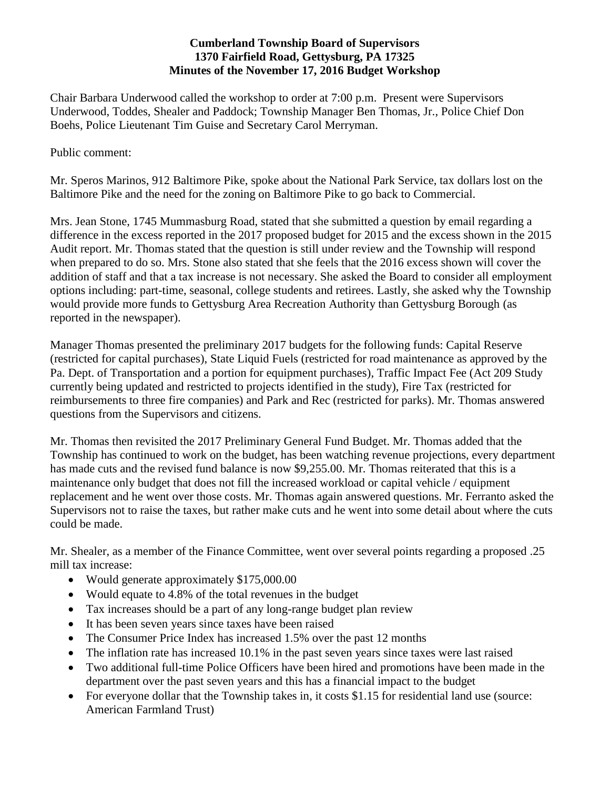## **Cumberland Township Board of Supervisors 1370 Fairfield Road, Gettysburg, PA 17325 Minutes of the November 17, 2016 Budget Workshop**

Chair Barbara Underwood called the workshop to order at 7:00 p.m. Present were Supervisors Underwood, Toddes, Shealer and Paddock; Township Manager Ben Thomas, Jr., Police Chief Don Boehs, Police Lieutenant Tim Guise and Secretary Carol Merryman.

Public comment:

Mr. Speros Marinos, 912 Baltimore Pike, spoke about the National Park Service, tax dollars lost on the Baltimore Pike and the need for the zoning on Baltimore Pike to go back to Commercial.

Mrs. Jean Stone, 1745 Mummasburg Road, stated that she submitted a question by email regarding a difference in the excess reported in the 2017 proposed budget for 2015 and the excess shown in the 2015 Audit report. Mr. Thomas stated that the question is still under review and the Township will respond when prepared to do so. Mrs. Stone also stated that she feels that the 2016 excess shown will cover the addition of staff and that a tax increase is not necessary. She asked the Board to consider all employment options including: part-time, seasonal, college students and retirees. Lastly, she asked why the Township would provide more funds to Gettysburg Area Recreation Authority than Gettysburg Borough (as reported in the newspaper).

Manager Thomas presented the preliminary 2017 budgets for the following funds: Capital Reserve (restricted for capital purchases), State Liquid Fuels (restricted for road maintenance as approved by the Pa. Dept. of Transportation and a portion for equipment purchases), Traffic Impact Fee (Act 209 Study currently being updated and restricted to projects identified in the study), Fire Tax (restricted for reimbursements to three fire companies) and Park and Rec (restricted for parks). Mr. Thomas answered questions from the Supervisors and citizens.

Mr. Thomas then revisited the 2017 Preliminary General Fund Budget. Mr. Thomas added that the Township has continued to work on the budget, has been watching revenue projections, every department has made cuts and the revised fund balance is now \$9,255.00. Mr. Thomas reiterated that this is a maintenance only budget that does not fill the increased workload or capital vehicle / equipment replacement and he went over those costs. Mr. Thomas again answered questions. Mr. Ferranto asked the Supervisors not to raise the taxes, but rather make cuts and he went into some detail about where the cuts could be made.

Mr. Shealer, as a member of the Finance Committee, went over several points regarding a proposed .25 mill tax increase:

- Would generate approximately \$175,000.00
- Would equate to 4.8% of the total revenues in the budget
- Tax increases should be a part of any long-range budget plan review
- It has been seven years since taxes have been raised
- The Consumer Price Index has increased 1.5% over the past 12 months
- The inflation rate has increased 10.1% in the past seven years since taxes were last raised
- Two additional full-time Police Officers have been hired and promotions have been made in the department over the past seven years and this has a financial impact to the budget
- For everyone dollar that the Township takes in, it costs \$1.15 for residential land use (source: American Farmland Trust)